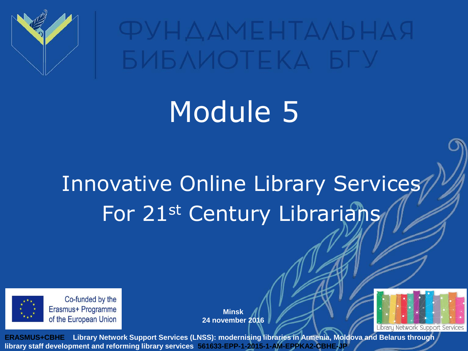

**ФУНДАМЕНТАЛЬНАЯ БИБЛИОТЕКА БГУ** 

# Module 5

### Innovative Online Library Services For 21st Century Librarians



Co-funded by the Erasmus+ Programme of the European Union

**Minsk 24 november 2016**

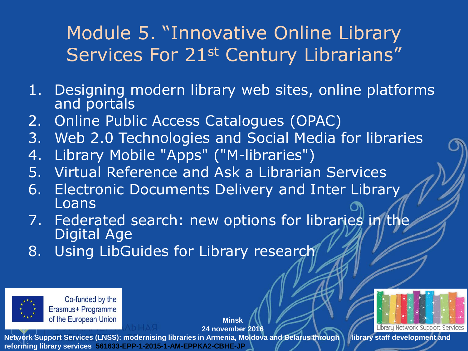#### Module 5. "Innovative Online Library Services For 21<sup>st</sup> Century Librarians"

- 1. Designing modern library web sites, online platforms and portals
- 2. Online Public Access Catalogues (OPAC)
- 3. Web 2.0 Technologies and Social Media for libraries
- 4. Library Mobile "Apps" ("M-libraries")
- 5. Virtual Reference and Ask a Librarian Services
- 6. Electronic Documents Delivery and Inter Library Loans
- 7. Federated search: new options for libraries in the Digital Age
- 8. Using LibGuides for Library research



Co-funded by the Erasmus+ Programme of the European Union

**Minsk 24 november 2016**

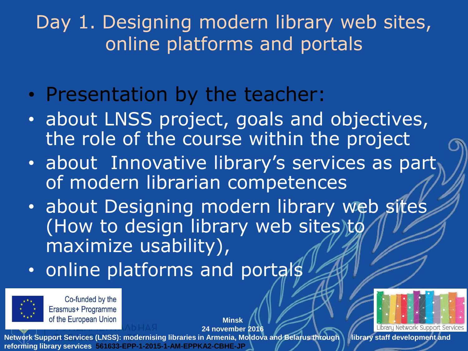Day 1. Designing modern library web sites, online platforms and portals

- Presentation by the teacher:
- about LNSS project, goals and objectives, the role of the course within the project
- about Innovative library's services as part of modern librarian competences
- about Designing modern library web sites (How to design library web sites)to maximize usability),

**Minsk 24 november 2016**

• online platforms and portals



Co-funded by the Erasmus+ Programme of the European Union

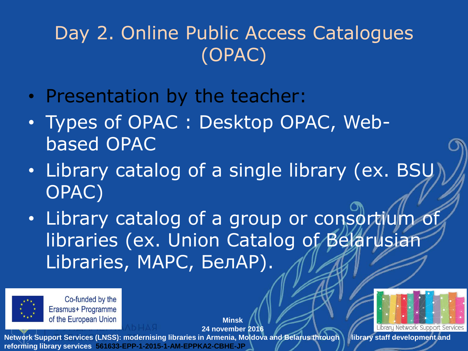### Day 2. Online Public Access Catalogues (OPAC)

- Presentation by the teacher:
- Types of OPAC : Desktop OPAC, Webbased OPAC
- Library catalog of a single library (ex. BSU OPAC)
- Library catalog of a group or consortium of libraries (ex. Union Catalog of Belarusian Libraries, МАРС, БелАР).

**Minsk**



Co-funded by the Erasmus+ Programme of the European Union

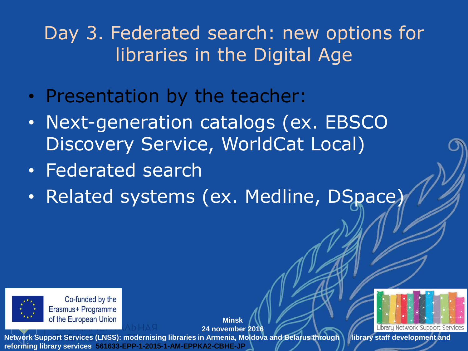#### Day 3. Federated search: new options for libraries in the Digital Age

- Presentation by the teacher:
- Next-generation catalogs (ex. EBSCO Discovery Service, WorldCat Local)
- Federated search
- Related systems (ex. Medline, DSpace)



Co-funded by the Erasmus+ Programme of the European Union

**Minsk 24 november 2016**

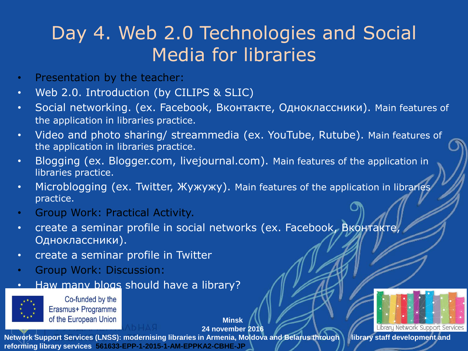#### Day 4. Web 2.0 Technologies and Social Media for libraries

- Presentation by the teacher:
- Web 2.0. Introduction (by CILIPS & SLIC)
- Social networking. (ex. Facebook, Вконтакте, Одноклассники). Main features of the application in libraries practice.
- Video and photo sharing/ streammedia (ex. YouTube, Rutube). Main features of the application in libraries practice.
- Blogging (ex. Blogger.com, livejournal.com). Main features of the application in libraries practice.
- Microblogging (ex. Twitter, Жужужу). Main features of the application in libraries practice.
- Group Work: Practical Activity.
- create a seminar profile in social networks (ex. Facebook, Вконтакте, Одноклассники).
- create a seminar profile in Twitter
- Group Work: Discussion:
- Haw many blogs should have a library?



Co-funded by the Erasmus+ Programme of the European Union

**Minsk 24 november 2016**

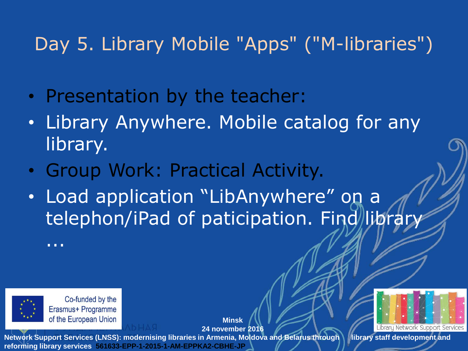#### Day 5. Library Mobile "Apps" ("M-libraries")

- Presentation by the teacher:
- Library Anywhere. Mobile catalog for any library.
- Group Work: Practical Activity.
- Load application "LibAnywhere" on a telephon/iPad of paticipation. Find/library

...



Co-funded by the Erasmus+ Programme of the European Union

**Minsk 24 november 2016**

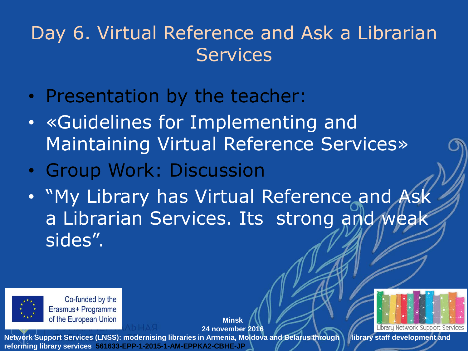#### Day 6. Virtual Reference and Ask a Librarian **Services**

- Presentation by the teacher:
- «Guidelines for Implementing and Maintaining Virtual Reference Services»
- Group Work: Discussion
- "My Library has Virtual Reference and Ask a Librarian Services. Its strong and weak sides".



Co-funded by the Erasmus+ Programme of the European Union

**Minsk 24 november 2016**

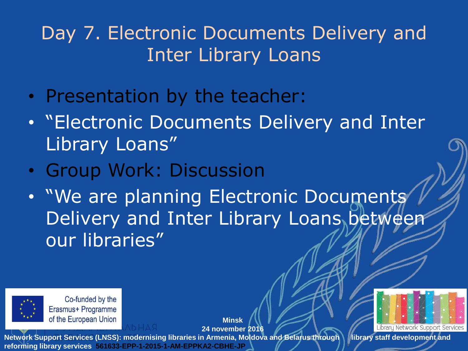#### Day 7. Electronic Documents Delivery and Inter Library Loans

- Presentation by the teacher:
- "Electronic Documents Delivery and Inter Library Loans"
- Group Work: Discussion
- "We are planning Electronic Documents Delivery and Inter Library Loans between our libraries"



Co-funded by the Erasmus+ Programme of the European Union

**Minsk 24 november 2016**

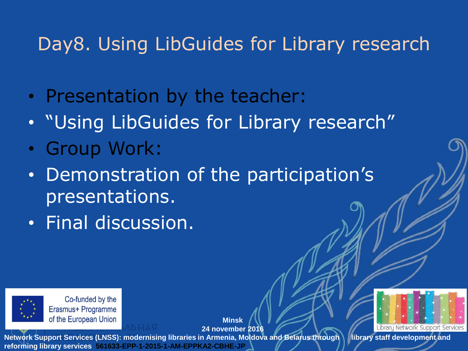#### Day8. Using LibGuides for Library research

- Presentation by the teacher:
- "Using LibGuides for Library research"
- Group Work:
- Demonstration of the participation's presentations.
- Final discussion.



Co-funded by the Erasmus+ Programme of the European Union

**Minsk 24 november 2016**